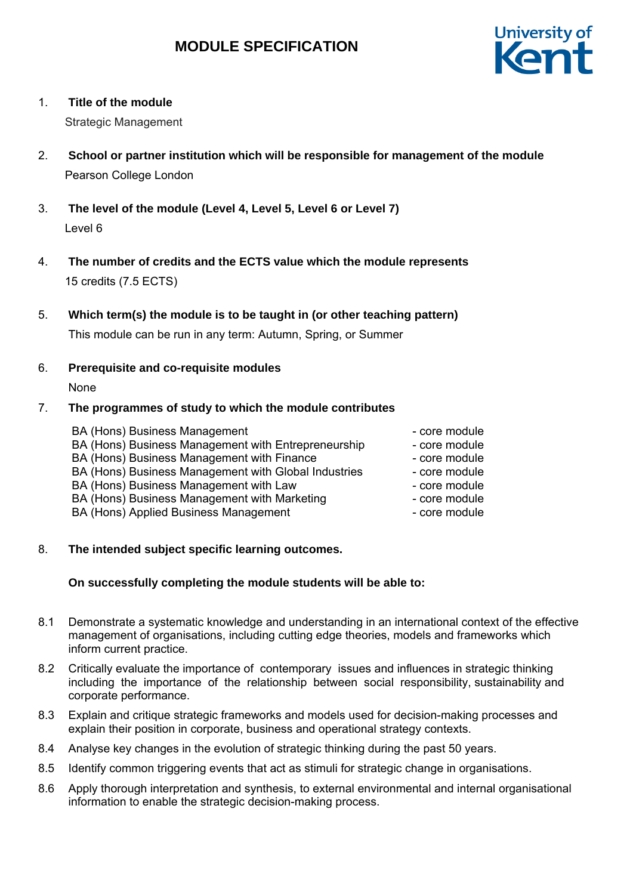

# 1. **Title of the module**

Strategic Management

- 2. **School or partner institution which will be responsible for management of the module** Pearson College London
- 3. **The level of the module (Level 4, Level 5, Level 6 or Level 7)** Level 6
- 4. **The number of credits and the ECTS value which the module represents**  15 credits (7.5 ECTS)
- 5. **Which term(s) the module is to be taught in (or other teaching pattern)** This module can be run in any term: Autumn, Spring, or Summer

# 6. **Prerequisite and co-requisite modules**

None

# 7. **The programmes of study to which the module contributes**

| BA (Hons) Business Management                        | - core module |
|------------------------------------------------------|---------------|
| BA (Hons) Business Management with Entrepreneurship  | - core module |
| BA (Hons) Business Management with Finance           | - core module |
| BA (Hons) Business Management with Global Industries | - core module |
| BA (Hons) Business Management with Law               | - core module |
| BA (Hons) Business Management with Marketing         | - core module |
| BA (Hons) Applied Business Management                | - core module |

# 8. **The intended subject specific learning outcomes.**

# **On successfully completing the module students will be able to:**

- 8.1 Demonstrate a systematic knowledge and understanding in an international context of the effective management of organisations, including cutting edge theories, models and frameworks which inform current practice.
- 8.2 Critically evaluate the importance of contemporary issues and influences in strategic thinking including the importance of the relationship between social responsibility, sustainability and corporate performance.
- 8.3 Explain and critique strategic frameworks and models used for decision-making processes and explain their position in corporate, business and operational strategy contexts.
- 8.4 Analyse key changes in the evolution of strategic thinking during the past 50 years.
- 8.5 Identify common triggering events that act as stimuli for strategic change in organisations.
- 8.6 Apply thorough interpretation and synthesis, to external environmental and internal organisational information to enable the strategic decision-making process.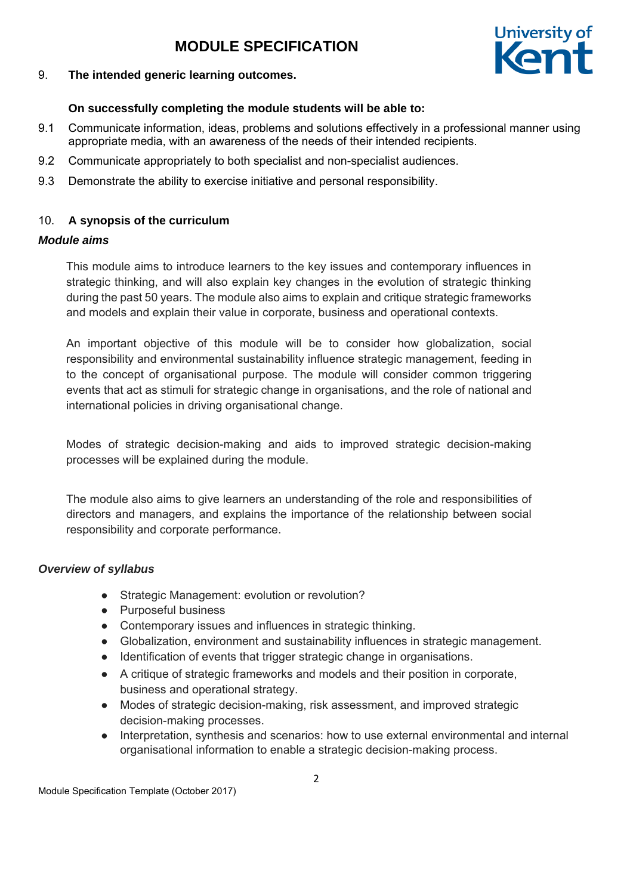

### 9. **The intended generic learning outcomes.**

# **On successfully completing the module students will be able to:**

- 9.1 Communicate information, ideas, problems and solutions effectively in a professional manner using appropriate media, with an awareness of the needs of their intended recipients.
- 9.2 Communicate appropriately to both specialist and non-specialist audiences.
- 9.3 Demonstrate the ability to exercise initiative and personal responsibility.

## 10. **A synopsis of the curriculum**

### *Module aims*

This module aims to introduce learners to the key issues and contemporary influences in strategic thinking, and will also explain key changes in the evolution of strategic thinking during the past 50 years. The module also aims to explain and critique strategic frameworks and models and explain their value in corporate, business and operational contexts.

An important objective of this module will be to consider how globalization, social responsibility and environmental sustainability influence strategic management, feeding in to the concept of organisational purpose. The module will consider common triggering events that act as stimuli for strategic change in organisations, and the role of national and international policies in driving organisational change.

Modes of strategic decision-making and aids to improved strategic decision-making processes will be explained during the module.

The module also aims to give learners an understanding of the role and responsibilities of directors and managers, and explains the importance of the relationship between social responsibility and corporate performance.

### *Overview of syllabus*

- Strategic Management: evolution or revolution?
- Purposeful business
- Contemporary issues and influences in strategic thinking.
- Globalization, environment and sustainability influences in strategic management.
- Identification of events that trigger strategic change in organisations.
- A critique of strategic frameworks and models and their position in corporate, business and operational strategy.
- Modes of strategic decision-making, risk assessment, and improved strategic decision-making processes.
- Interpretation, synthesis and scenarios: how to use external environmental and internal organisational information to enable a strategic decision-making process.

Module Specification Template (October 2017)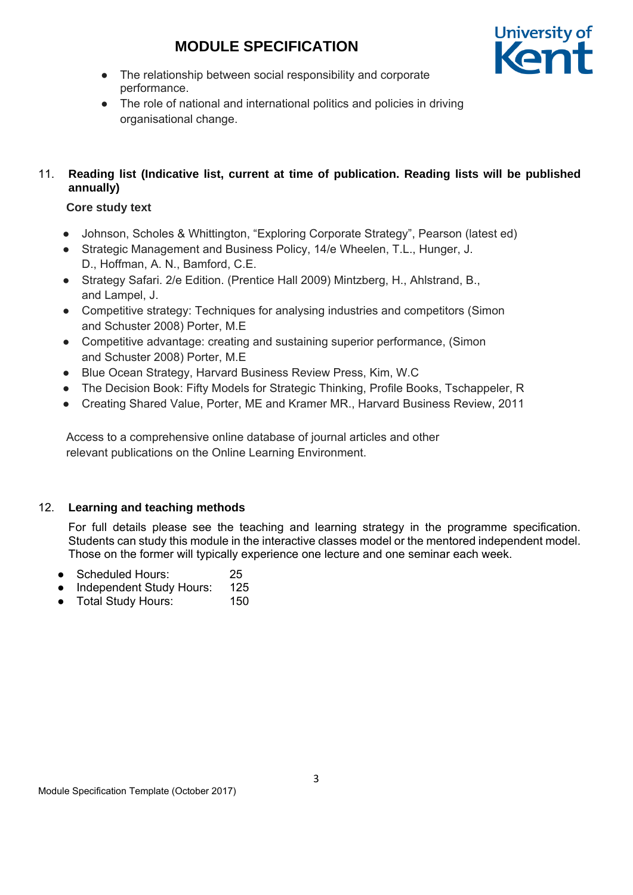

- The relationship between social responsibility and corporate performance.
- The role of national and international politics and policies in driving organisational change.

# 11. **Reading list (Indicative list, current at time of publication. Reading lists will be published annually)**

# **Core study text**

- Johnson, Scholes & Whittington, "Exploring Corporate Strategy", Pearson (latest ed)
- Strategic Management and Business Policy, 14/e Wheelen, T.L., Hunger, J. D., Hoffman, A. N., Bamford, C.E.
- Strategy Safari. 2/e Edition. (Prentice Hall 2009) Mintzberg, H., Ahlstrand, B., and Lampel, J.
- Competitive strategy: Techniques for analysing industries and competitors (Simon and Schuster 2008) Porter, M.E
- Competitive advantage: creating and sustaining superior performance, (Simon and Schuster 2008) Porter, M.E
- Blue Ocean Strategy, Harvard Business Review Press, Kim, W.C
- The Decision Book: Fifty Models for Strategic Thinking, Profile Books, Tschappeler, R
- Creating Shared Value, Porter, ME and Kramer MR., Harvard Business Review, 2011

Access to a comprehensive online database of journal articles and other relevant publications on the Online Learning Environment.

# 12. **Learning and teaching methods**

For full details please see the teaching and learning strategy in the programme specification. Students can study this module in the interactive classes model or the mentored independent model. Those on the former will typically experience one lecture and one seminar each week.

- Scheduled Hours: 25
- Independent Study Hours: 125
- Total Study Hours: 150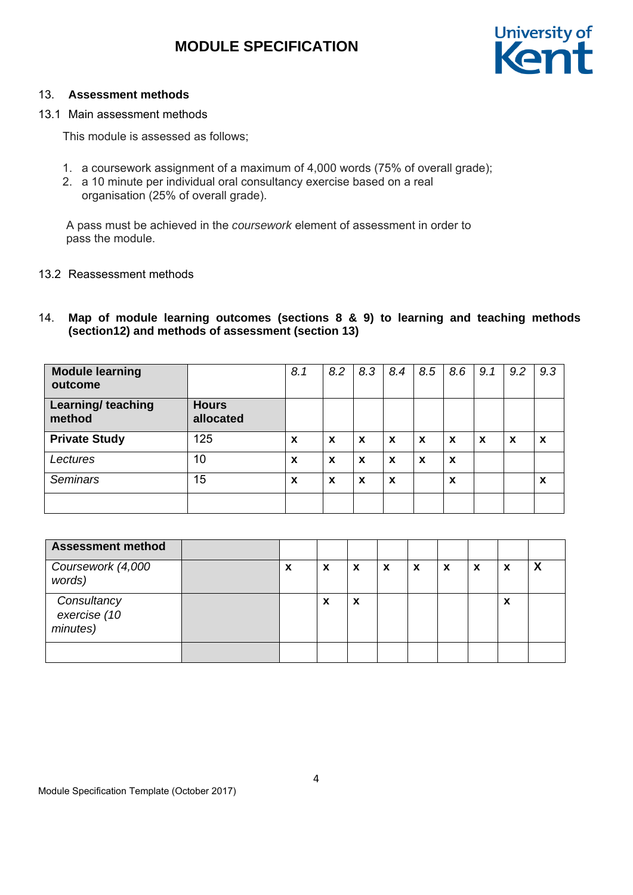

## 13. **Assessment methods**

13.1 Main assessment methods

This module is assessed as follows;

- 1. a coursework assignment of a maximum of 4,000 words (75% of overall grade);
- 2. a 10 minute per individual oral consultancy exercise based on a real organisation (25% of overall grade).

A pass must be achieved in the *coursework* element of assessment in order to pass the module.

## 13.2 Reassessment methods

# 14. **Map of module learning outcomes (sections 8 & 9) to learning and teaching methods (section12) and methods of assessment (section 13)**

| <b>Module learning</b><br>outcome   |                           | 8.1                       | 8.2 | 8.3                       | 8.4 | 8.5                       | 8.6                       | 9.1                       | 9.2 | 9.3 |
|-------------------------------------|---------------------------|---------------------------|-----|---------------------------|-----|---------------------------|---------------------------|---------------------------|-----|-----|
| <b>Learning/ teaching</b><br>method | <b>Hours</b><br>allocated |                           |     |                           |     |                           |                           |                           |     |     |
| <b>Private Study</b>                | 125                       | $\boldsymbol{\mathsf{x}}$ | X   | $\boldsymbol{\mathsf{x}}$ | X   | $\boldsymbol{\mathsf{x}}$ | $\boldsymbol{\mathsf{x}}$ | $\boldsymbol{\mathsf{x}}$ | X   | X   |
| Lectures                            | 10                        | $\boldsymbol{\mathsf{x}}$ | X   | X                         | X   | $\boldsymbol{x}$          | $\boldsymbol{\mathsf{x}}$ |                           |     |     |
| <b>Seminars</b>                     | 15                        | X                         | X   | $\boldsymbol{x}$          | X   |                           | X                         |                           |     | X   |
|                                     |                           |                           |     |                           |     |                           |                           |                           |     |     |

| <b>Assessment method</b>                |   |   |                           |   |   |   |   |                           |                           |
|-----------------------------------------|---|---|---------------------------|---|---|---|---|---------------------------|---------------------------|
| Coursework (4,000<br>words)             | ↗ | X | $\boldsymbol{\mathsf{x}}$ | x | X | X | X | $\boldsymbol{\mathsf{x}}$ | $\boldsymbol{\mathsf{x}}$ |
| Consultancy<br>exercise (10<br>minutes) |   | л | $\boldsymbol{\mathsf{x}}$ |   |   |   |   | $\boldsymbol{\mathsf{x}}$ |                           |
|                                         |   |   |                           |   |   |   |   |                           |                           |